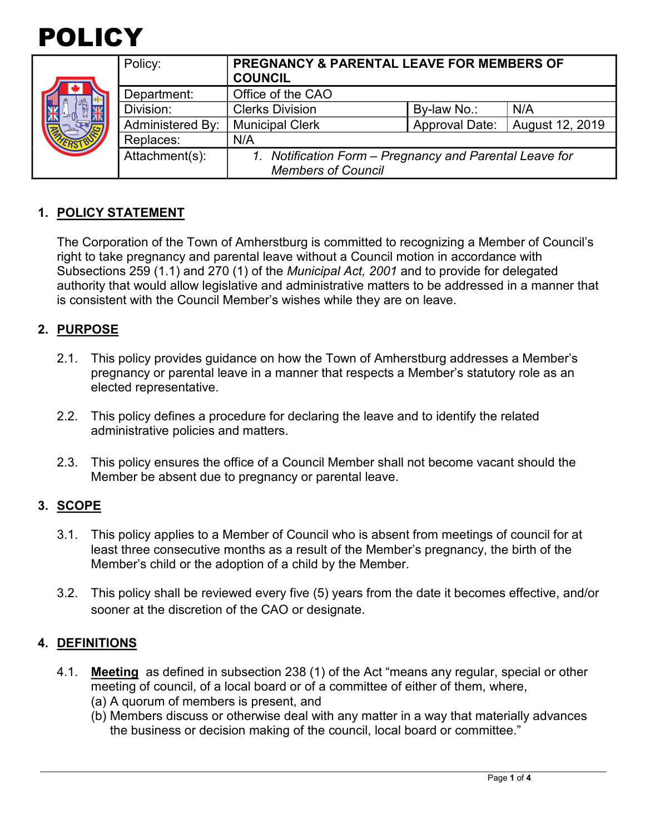

|  | Policy:          | <b>PREGNANCY &amp; PARENTAL LEAVE FOR MEMBERS OF</b><br><b>COUNCIL</b>            |                       |                 |
|--|------------------|-----------------------------------------------------------------------------------|-----------------------|-----------------|
|  | Department:      | Office of the CAO                                                                 |                       |                 |
|  | Division:        | <b>Clerks Division</b>                                                            | By-law No.:           | N/A             |
|  | Administered By: | <b>Municipal Clerk</b>                                                            | <b>Approval Date:</b> | August 12, 2019 |
|  | Replaces:        | N/A                                                                               |                       |                 |
|  | Attachment(s):   | Notification Form - Pregnancy and Parental Leave for<br><b>Members of Council</b> |                       |                 |

# **1. POLICY STATEMENT**

The Corporation of the Town of Amherstburg is committed to recognizing a Member of Council's right to take pregnancy and parental leave without a Council motion in accordance with Subsections 259 (1.1) and 270 (1) of the *Municipal Act, 2001* and to provide for delegated authority that would allow legislative and administrative matters to be addressed in a manner that is consistent with the Council Member's wishes while they are on leave.

## **2. PURPOSE**

- 2.1. This policy provides guidance on how the Town of Amherstburg addresses a Member's pregnancy or parental leave in a manner that respects a Member's statutory role as an elected representative.
- 2.2. This policy defines a procedure for declaring the leave and to identify the related administrative policies and matters.
- 2.3. This policy ensures the office of a Council Member shall not become vacant should the Member be absent due to pregnancy or parental leave.

### **3. SCOPE**

- 3.1. This policy applies to a Member of Council who is absent from meetings of council for at least three consecutive months as a result of the Member's pregnancy, the birth of the Member's child or the adoption of a child by the Member.
- 3.2. This policy shall be reviewed every five (5) years from the date it becomes effective, and/or sooner at the discretion of the CAO or designate.

### **4. DEFINITIONS**

- 4.1. **Meeting** as defined in subsection 238 (1) of the Act "means any regular, special or other meeting of council, of a local board or of a committee of either of them, where,
	- (a) A quorum of members is present, and
	- (b) Members discuss or otherwise deal with any matter in a way that materially advances the business or decision making of the council, local board or committee."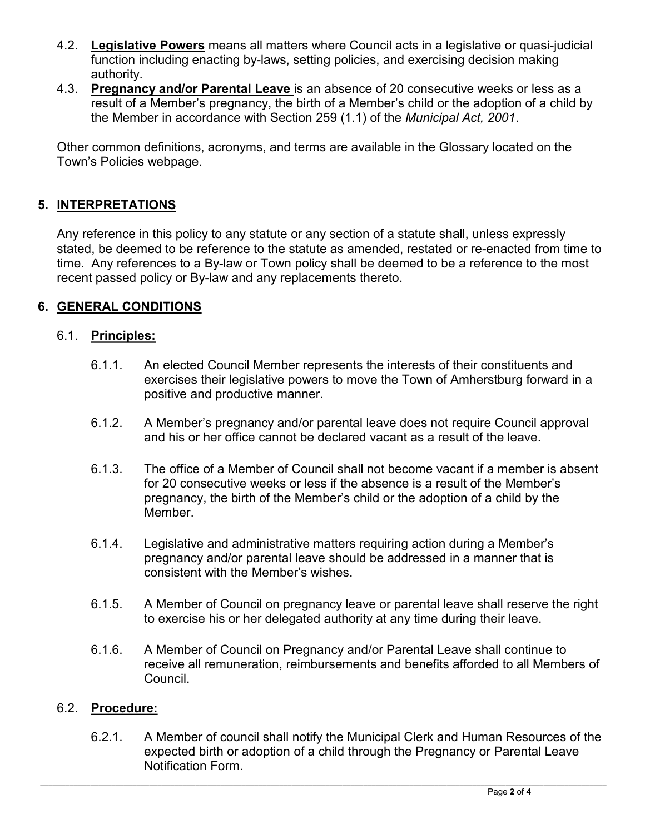- 4.2. **Legislative Powers** means all matters where Council acts in a legislative or quasi-judicial function including enacting by-laws, setting policies, and exercising decision making authority.
- 4.3. **Pregnancy and/or Parental Leave** is an absence of 20 consecutive weeks or less as a result of a Member's pregnancy, the birth of a Member's child or the adoption of a child by the Member in accordance with Section 259 (1.1) of the *Municipal Act, 2001*.

Other common definitions, acronyms, and terms are available in the Glossary located on the Town's Policies webpage.

# **5. INTERPRETATIONS**

Any reference in this policy to any statute or any section of a statute shall, unless expressly stated, be deemed to be reference to the statute as amended, restated or re-enacted from time to time. Any references to a By-law or Town policy shall be deemed to be a reference to the most recent passed policy or By-law and any replacements thereto.

# **6. GENERAL CONDITIONS**

### 6.1. **Principles:**

- 6.1.1. An elected Council Member represents the interests of their constituents and exercises their legislative powers to move the Town of Amherstburg forward in a positive and productive manner.
- 6.1.2. A Member's pregnancy and/or parental leave does not require Council approval and his or her office cannot be declared vacant as a result of the leave.
- 6.1.3. The office of a Member of Council shall not become vacant if a member is absent for 20 consecutive weeks or less if the absence is a result of the Member's pregnancy, the birth of the Member's child or the adoption of a child by the Member.
- 6.1.4. Legislative and administrative matters requiring action during a Member's pregnancy and/or parental leave should be addressed in a manner that is consistent with the Member's wishes.
- 6.1.5. A Member of Council on pregnancy leave or parental leave shall reserve the right to exercise his or her delegated authority at any time during their leave.
- 6.1.6. A Member of Council on Pregnancy and/or Parental Leave shall continue to receive all remuneration, reimbursements and benefits afforded to all Members of Council.

### 6.2. **Procedure:**

6.2.1. A Member of council shall notify the Municipal Clerk and Human Resources of the expected birth or adoption of a child through the Pregnancy or Parental Leave Notification Form.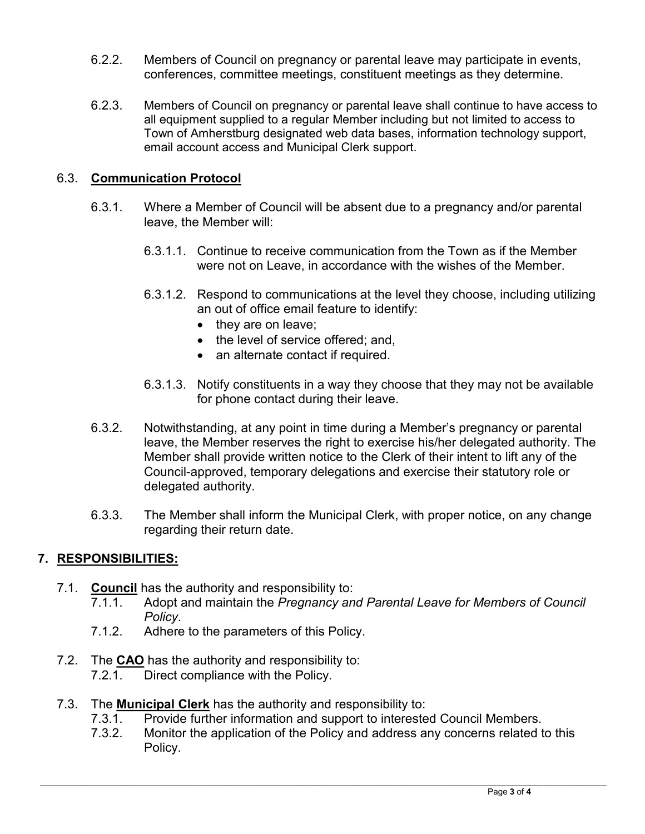- 6.2.2. Members of Council on pregnancy or parental leave may participate in events, conferences, committee meetings, constituent meetings as they determine.
- 6.2.3. Members of Council on pregnancy or parental leave shall continue to have access to all equipment supplied to a regular Member including but not limited to access to Town of Amherstburg designated web data bases, information technology support, email account access and Municipal Clerk support.

## 6.3. **Communication Protocol**

- 6.3.1. Where a Member of Council will be absent due to a pregnancy and/or parental leave, the Member will:
	- 6.3.1.1. Continue to receive communication from the Town as if the Member were not on Leave, in accordance with the wishes of the Member.
	- 6.3.1.2. Respond to communications at the level they choose, including utilizing an out of office email feature to identify:
		- they are on leave;
		- the level of service offered; and,
		- an alternate contact if required.
	- 6.3.1.3. Notify constituents in a way they choose that they may not be available for phone contact during their leave.
- 6.3.2. Notwithstanding, at any point in time during a Member's pregnancy or parental leave, the Member reserves the right to exercise his/her delegated authority. The Member shall provide written notice to the Clerk of their intent to lift any of the Council-approved, temporary delegations and exercise their statutory role or delegated authority.
- 6.3.3. The Member shall inform the Municipal Clerk, with proper notice, on any change regarding their return date.

## **7. RESPONSIBILITIES:**

- 7.1. **Council** has the authority and responsibility to:
	- 7.1.1. Adopt and maintain the *Pregnancy and Parental Leave for Members of Council Policy*.
	- 7.1.2. Adhere to the parameters of this Policy.
- 7.2. The **CAO** has the authority and responsibility to:
	- 7.2.1. Direct compliance with the Policy.
- 7.3. The **Municipal Clerk** has the authority and responsibility to:
	- 7.3.1. Provide further information and support to interested Council Members.
	- 7.3.2. Monitor the application of the Policy and address any concerns related to this Policy.